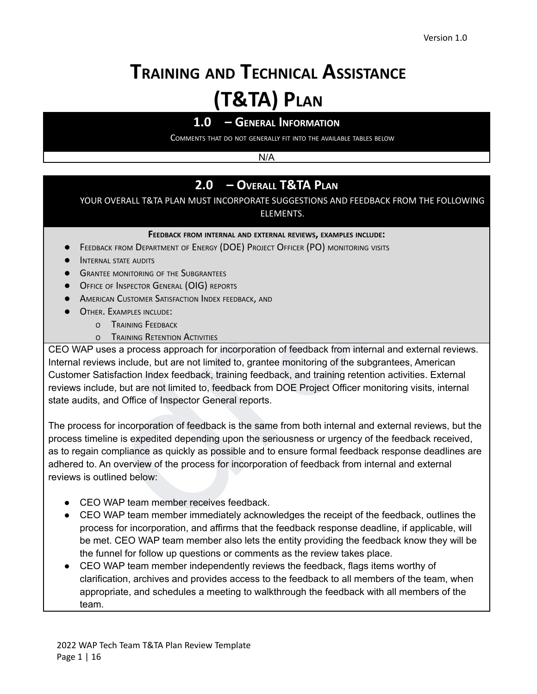# **TRAINING AND TECHNICAL ASSISTANCE (T&TA) PLAN**

# **1.0 – GENERAL INFORMATION**

COMMENTS THAT DO NOT GENERALLY FIT INTO THE AVAILABLE TABLES BELOW

N/A

# **2.0 – OVERALL T&TA PLAN**

YOUR OVERALL T&TA PLAN MUST INCORPORATE SUGGESTIONS AND FEEDBACK FROM THE FOLLOWING ELEMENTS.

#### **FEEDBACK FROM INTERNAL AND EXTERNAL REVIEWS, EXAMPLES INCLUDE:**

- FEEDBACK FROM DEPARTMENT OF ENERGY (DOE) PROJECT OFFICER (PO) MONITORING VISITS
- **•** INTERNAL STATE AUDITS
- **GRANTEE MONITORING OF THE SUBGRANTEES**
- **OFFICE OF INSPECTOR GENERAL (OIG) REPORTS**
- **AMERICAN CUSTOMER SATISFACTION INDEX FEEDBACK, AND**
- **OTHER. EXAMPLES INCLUDE:** 
	- <sup>O</sup> TRAINING FEEDBACK
	- **O** TRAINING RETENTION ACTIVITIES

CEO WAP uses a process approach for incorporation of feedback from internal and external reviews. Internal reviews include, but are not limited to, grantee monitoring of the subgrantees, American Customer Satisfaction Index feedback, training feedback, and training retention activities. External reviews include, but are not limited to, feedback from DOE Project Officer monitoring visits, internal state audits, and Office of Inspector General reports.

**2.0 - OVERALL T&TA PLAN**<br> **2.0 - OVERALL T&TA PLAN**<br> **ELEMENTS.**<br> **ELEMENTS.**<br> **ELEMENTS.**<br> **ELEMENTS.**<br> **ELEMENTS.**<br> **ELEMENTS.**<br> **ELEMENTS.**<br> **ELEMENTS.**<br> **ELEMENTS.**<br> **ELEMENTS.**<br> **ELEMENTS.**<br> **ELEMENTS.**<br> **ELEMENTS.** The process for incorporation of feedback is the same from both internal and external reviews, but the process timeline is expedited depending upon the seriousness or urgency of the feedback received, as to regain compliance as quickly as possible and to ensure formal feedback response deadlines are adhered to. An overview of the process for incorporation of feedback from internal and external reviews is outlined below:

- CEO WAP team member receives feedback.
- CEO WAP team member immediately acknowledges the receipt of the feedback, outlines the process for incorporation, and affirms that the feedback response deadline, if applicable, will be met. CEO WAP team member also lets the entity providing the feedback know they will be the funnel for follow up questions or comments as the review takes place.
- CEO WAP team member independently reviews the feedback, flags items worthy of clarification, archives and provides access to the feedback to all members of the team, when appropriate, and schedules a meeting to walkthrough the feedback with all members of the team.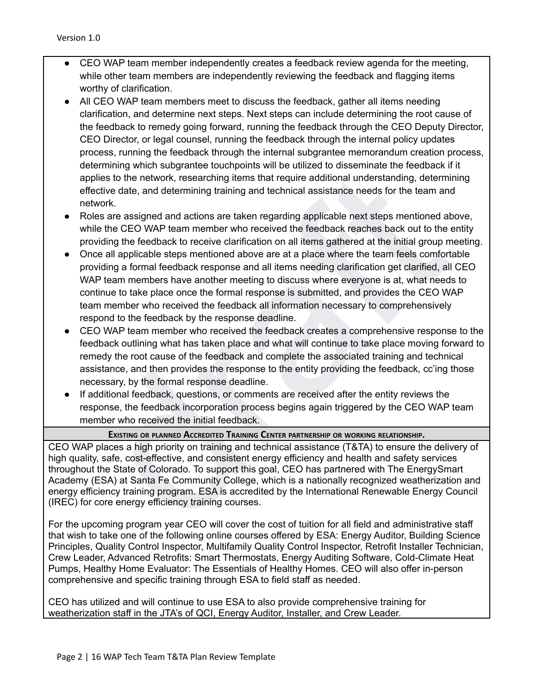- CEO WAP team member independently creates a feedback review agenda for the meeting, while other team members are independently reviewing the feedback and flagging items worthy of clarification.
- All CEO WAP team members meet to discuss the feedback, gather all items needing clarification, and determine next steps. Next steps can include determining the root cause of the feedback to remedy going forward, running the feedback through the CEO Deputy Director, CEO Director, or legal counsel, running the feedback through the internal policy updates process, running the feedback through the internal subgrantee memorandum creation process, determining which subgrantee touchpoints will be utilized to disseminate the feedback if it applies to the network, researching items that require additional understanding, determining effective date, and determining training and technical assistance needs for the team and network.
- Roles are assigned and actions are taken regarding applicable next steps mentioned above, while the CEO WAP team member who received the feedback reaches back out to the entity providing the feedback to receive clarification on all items gathered at the initial group meeting.
- of the method, the method, the search of the constant and the constant and the constanting and the constant and the searching the searching training and technical assistance needs for the team and the cEO WAP team and tech ● Once all applicable steps mentioned above are at a place where the team feels comfortable providing a formal feedback response and all items needing clarification get clarified, all CEO WAP team members have another meeting to discuss where everyone is at, what needs to continue to take place once the formal response is submitted, and provides the CEO WAP team member who received the feedback all information necessary to comprehensively respond to the feedback by the response deadline.
- CEO WAP team member who received the feedback creates a comprehensive response to the feedback outlining what has taken place and what will continue to take place moving forward to remedy the root cause of the feedback and complete the associated training and technical assistance, and then provides the response to the entity providing the feedback, cc'ing those necessary, by the formal response deadline.
- If additional feedback, questions, or comments are received after the entity reviews the response, the feedback incorporation process begins again triggered by the CEO WAP team member who received the initial feedback.

#### **EXISTING OR PLANNED ACCREDITED TRAINING CENTER PARTNERSHIP OR WORKING RELATIONSHIP.**

CEO WAP places a high priority on training and technical assistance (T&TA) to ensure the delivery of high quality, safe, cost-effective, and consistent energy efficiency and health and safety services throughout the State of Colorado. To support this goal, CEO has partnered with The EnergySmart Academy (ESA) at Santa Fe Community College, which is a nationally recognized weatherization and energy efficiency training program. ESA is accredited by the International Renewable Energy Council (IREC) for core energy efficiency training courses.

For the upcoming program year CEO will cover the cost of tuition for all field and administrative staff that wish to take one of the following online courses offered by ESA: Energy Auditor, Building Science Principles, Quality Control Inspector, Multifamily Quality Control Inspector, Retrofit Installer Technician, Crew Leader, Advanced Retrofits: Smart Thermostats, Energy Auditing Software, Cold-Climate Heat Pumps, Healthy Home Evaluator: The Essentials of Healthy Homes. CEO will also offer in-person comprehensive and specific training through ESA to field staff as needed.

CEO has utilized and will continue to use ESA to also provide comprehensive training for weatherization staff in the JTA's of QCI, Energy Auditor, Installer, and Crew Leader.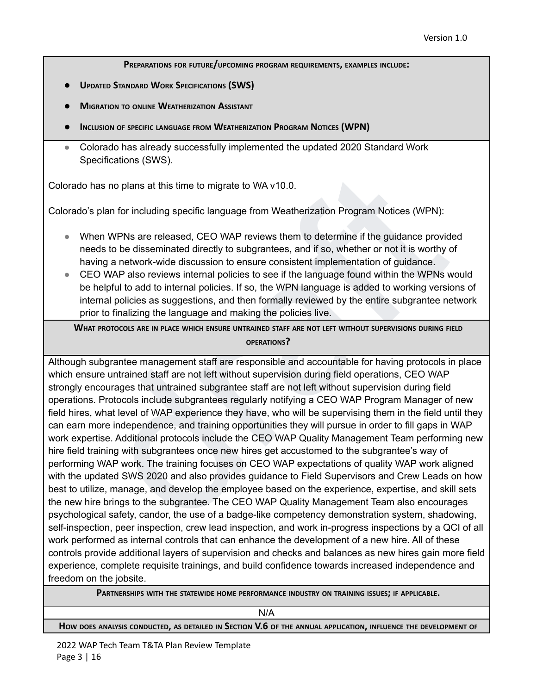**PREPARATIONS FOR FUTURE/UPCOMING PROGRAM REQUIREMENTS, EXAMPLES INCLUDE:**

- **● UPDATED STANDARD WORK SPECIFICATIONS (SWS)**
- **● MIGRATION TO ONLINE WEATHERIZATION ASSISTANT**
- **● INCLUSION OF SPECIFIC LANGUAGE FROM WEATHERIZATION PROGRAM NOTICES (WPN)**
- Colorado has already successfully implemented the updated 2020 Standard Work Specifications (SWS).

Colorado has no plans at this time to migrate to WA v10.0.

Colorado's plan for including specific language from Weatherization Program Notices (WPN):

- When WPNs are released, CEO WAP reviews them to determine if the guidance provided needs to be disseminated directly to subgrantees, and if so, whether or not it is worthy of having a network-wide discussion to ensure consistent implementation of guidance.
- CEO WAP also reviews internal policies to see if the language found within the WPNs would be helpful to add to internal policies. If so, the WPN language is added to working versions of internal policies as suggestions, and then formally reviewed by the entire subgrantee network prior to finalizing the language and making the policies live.

**WHAT PROTOCOLS ARE IN PLACE WHICH ENSURE UNTRAINED STAFF ARE NOT LEFT WITHOUT SUPERVISIONS DURING FIELD OPERATIONS?**

has no plans at this time to migrate to WA v10.0.<br>
s plan for including specific language from Weatherization Program Notices (WPN):<br>
hen WPNs are released, CEO WAP reviews them to determine if the guidance provided<br>
erds Although subgrantee management staff are responsible and accountable for having protocols in place which ensure untrained staff are not left without supervision during field operations, CEO WAP strongly encourages that untrained subgrantee staff are not left without supervision during field operations. Protocols include subgrantees regularly notifying a CEO WAP Program Manager of new field hires, what level of WAP experience they have, who will be supervising them in the field until they can earn more independence, and training opportunities they will pursue in order to fill gaps in WAP work expertise. Additional protocols include the CEO WAP Quality Management Team performing new hire field training with subgrantees once new hires get accustomed to the subgrantee's way of performing WAP work. The training focuses on CEO WAP expectations of quality WAP work aligned with the updated SWS 2020 and also provides guidance to Field Supervisors and Crew Leads on how best to utilize, manage, and develop the employee based on the experience, expertise, and skill sets the new hire brings to the subgrantee. The CEO WAP Quality Management Team also encourages psychological safety, candor, the use of a badge-like competency demonstration system, shadowing, self-inspection, peer inspection, crew lead inspection, and work in-progress inspections by a QCI of all work performed as internal controls that can enhance the development of a new hire. All of these controls provide additional layers of supervision and checks and balances as new hires gain more field experience, complete requisite trainings, and build confidence towards increased independence and freedom on the jobsite.

**PARTNERSHIPS WITH THE STATEWIDE HOME PERFORMANCE INDUSTRY ON TRAINING ISSUES; IF APPLICABLE.**

N/A

HOW DOES ANALYSIS CONDUCTED, AS DETAILED IN SECTION V.6 OF THE ANNUAL APPLICATION, INFLUENCE THE DEVELOPMENT OF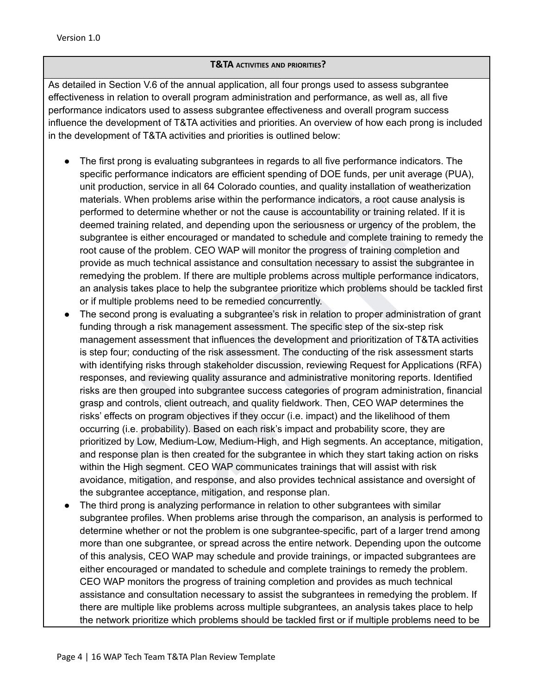#### **T&TA ACTIVITIES AND PRIORITIES?**

As detailed in Section V.6 of the annual application, all four prongs used to assess subgrantee effectiveness in relation to overall program administration and performance, as well as, all five performance indicators used to assess subgrantee effectiveness and overall program success influence the development of T&TA activities and priorities. An overview of how each prong is included in the development of T&TA activities and priorities is outlined below:

- The first prong is evaluating subgrantees in regards to all five performance indicators. The specific performance indicators are efficient spending of DOE funds, per unit average (PUA), unit production, service in all 64 Colorado counties, and quality installation of weatherization materials. When problems arise within the performance indicators, a root cause analysis is performed to determine whether or not the cause is accountability or training related. If it is deemed training related, and depending upon the seriousness or urgency of the problem, the subgrantee is either encouraged or mandated to schedule and complete training to remedy the root cause of the problem. CEO WAP will monitor the progress of training completion and provide as much technical assistance and consultation necessary to assist the subgrantee in remedying the problem. If there are multiple problems across multiple performance indicators, an analysis takes place to help the subgrantee prioritize which problems should be tackled first or if multiple problems need to be remedied concurrently.
- ecific performance indicators are efficient spending of DOE funds, per unit average (PUA),<br>at production, sevice in all 64 colorate counties, and quality installation of weatherization<br>atterials. When problems arise within The second prong is evaluating a subgrantee's risk in relation to proper administration of grant funding through a risk management assessment. The specific step of the six-step risk management assessment that influences the development and prioritization of T&TA activities is step four; conducting of the risk assessment. The conducting of the risk assessment starts with identifying risks through stakeholder discussion, reviewing Request for Applications (RFA) responses, and reviewing quality assurance and administrative monitoring reports. Identified risks are then grouped into subgrantee success categories of program administration, financial grasp and controls, client outreach, and quality fieldwork. Then, CEO WAP determines the risks' effects on program objectives if they occur (i.e. impact) and the likelihood of them occurring (i.e. probability). Based on each risk's impact and probability score, they are prioritized by Low, Medium-Low, Medium-High, and High segments. An acceptance, mitigation, and response plan is then created for the subgrantee in which they start taking action on risks within the High segment. CEO WAP communicates trainings that will assist with risk avoidance, mitigation, and response, and also provides technical assistance and oversight of the subgrantee acceptance, mitigation, and response plan.
- The third prong is analyzing performance in relation to other subgrantees with similar subgrantee profiles. When problems arise through the comparison, an analysis is performed to determine whether or not the problem is one subgrantee-specific, part of a larger trend among more than one subgrantee, or spread across the entire network. Depending upon the outcome of this analysis, CEO WAP may schedule and provide trainings, or impacted subgrantees are either encouraged or mandated to schedule and complete trainings to remedy the problem. CEO WAP monitors the progress of training completion and provides as much technical assistance and consultation necessary to assist the subgrantees in remedying the problem. If there are multiple like problems across multiple subgrantees, an analysis takes place to help the network prioritize which problems should be tackled first or if multiple problems need to be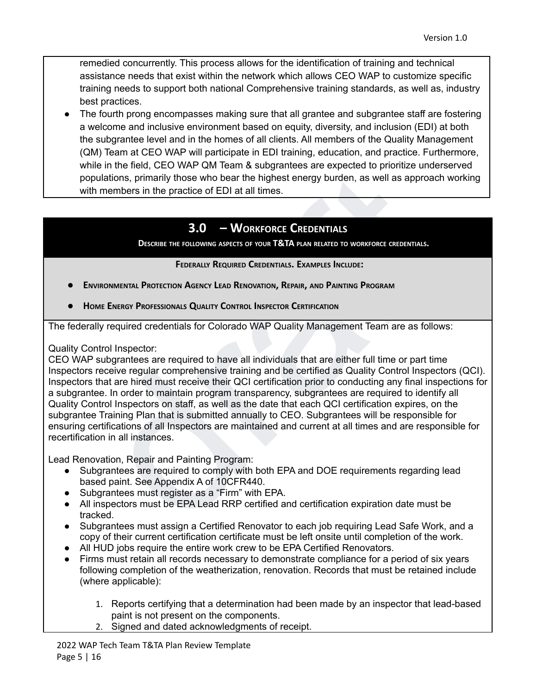remedied concurrently. This process allows for the identification of training and technical assistance needs that exist within the network which allows CEO WAP to customize specific training needs to support both national Comprehensive training standards, as well as, industry best practices.

The fourth prong encompasses making sure that all grantee and subgrantee staff are fostering a welcome and inclusive environment based on equity, diversity, and inclusion (EDI) at both the subgrantee level and in the homes of all clients. All members of the Quality Management (QM) Team at CEO WAP will participate in EDI training, education, and practice. Furthermore, while in the field, CEO WAP QM Team & subgrantees are expected to prioritize underserved populations, primarily those who bear the highest energy burden, as well as approach working with members in the practice of EDI at all times.

# **3.0 – WORKFORCE CREDENTIALS**

**DESCRIBE THE FOLLOWING ASPECTS OF YOUR T&TA PLAN RELATED TO WORKFORCE CREDENTIALS.**

#### **FEDERALLY REQUIRED CREDENTIALS. EXAMPLES INCLUDE:**

- **● ENVIRONMENTAL PROTECTION AGENCY LEAD RENOVATION, REPAIR, AND PAINTING PROGRAM**
- **● HOME ENERGY PROFESSIONALS QUALITY CONTROL INSPECTOR CERTIFICATION**

The federally required credentials for Colorado WAP Quality Management Team are as follows:

Quality Control Inspector:

members in the priori of the Matter of EDI at all three systems are required to the members in the practicle of EDI at all times.<br> **Brownline in the practicle of EDI at all times.**<br> **Brownline in the practicle of EDI at al** CEO WAP subgrantees are required to have all individuals that are either full time or part time Inspectors receive regular comprehensive training and be certified as Quality Control Inspectors (QCI). Inspectors that are hired must receive their QCI certification prior to conducting any final inspections for a subgrantee. In order to maintain program transparency, subgrantees are required to identify all Quality Control Inspectors on staff, as well as the date that each QCI certification expires, on the subgrantee Training Plan that is submitted annually to CEO. Subgrantees will be responsible for ensuring certifications of all Inspectors are maintained and current at all times and are responsible for recertification in all instances.

Lead Renovation, Repair and Painting Program:

- Subgrantees are required to comply with both EPA and DOE requirements regarding lead based paint. See Appendix A of 10CFR440.
- Subgrantees must register as a "Firm" with EPA.
- All inspectors must be EPA Lead RRP certified and certification expiration date must be tracked.
- Subgrantees must assign a Certified Renovator to each job requiring Lead Safe Work, and a copy of their current certification certificate must be left onsite until completion of the work.
- All HUD jobs require the entire work crew to be EPA Certified Renovators.
- Firms must retain all records necessary to demonstrate compliance for a period of six years following completion of the weatherization, renovation. Records that must be retained include (where applicable):
	- 1. Reports certifying that a determination had been made by an inspector that lead-based paint is not present on the components.
	- 2. Signed and dated acknowledgments of receipt.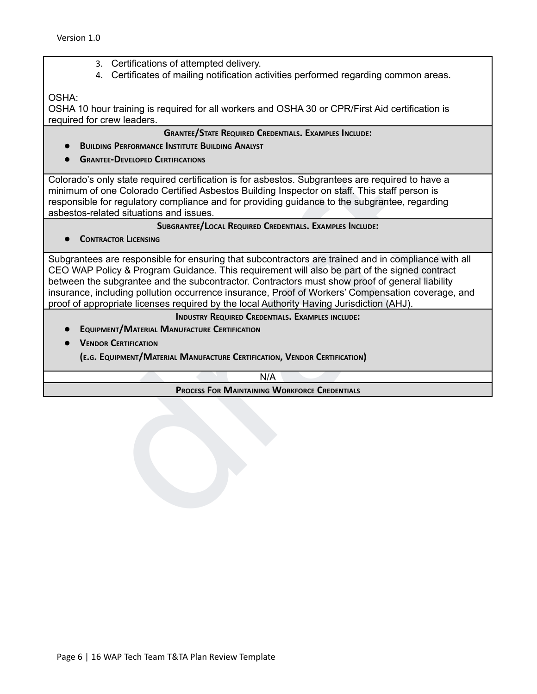- 3. Certifications of attempted delivery.
- 4. Certificates of mailing notification activities performed regarding common areas.

OSHA:

OSHA 10 hour training is required for all workers and OSHA 30 or CPR/First Aid certification is required for crew leaders.

**GRANTEE/STATE REQUIRED CREDENTIALS. EXAMPLES INCLUDE:**

- **● BUILDING PERFORMANCE INSTITUTE BUILDING ANALYST**
- **● GRANTEE-DEVELOPED CERTIFICATIONS**

Colorado's only state required certification is for asbestos. Subgrantees are required to have a minimum of one Colorado Certified Asbestos Building Inspector on staff. This staff person is responsible for regulatory compliance and for providing guidance to the subgrantee, regarding asbestos-related situations and issues.

**SUBGRANTEE/LOCAL REQUIRED CREDENTIALS. EXAMPLES INCLUDE:**

**● CONTRACTOR LICENSING**

Sonly state required certification is for asbestos. Subgrantees are required to have a<br>
of one Colorado Certified Asbestos Building Inspector on staff. This staff person is<br>
le for regulatory compliance and for providing n Subgrantees are responsible for ensuring that subcontractors are trained and in compliance with all CEO WAP Policy & Program Guidance. This requirement will also be part of the signed contract between the subgrantee and the subcontractor. Contractors must show proof of general liability insurance, including pollution occurrence insurance, Proof of Workers' Compensation coverage, and proof of appropriate licenses required by the local Authority Having Jurisdiction (AHJ).

**INDUSTRY REQUIRED CREDENTIALS. EXAMPLES INCLUDE:**

- **● EQUIPMENT/MATERIAL MANUFACTURE CERTIFICATION**
- **● VENDOR CERTIFICATION**

**(E.G. EQUIPMENT/MATERIAL MANUFACTURE CERTIFICATION, VENDOR CERTIFICATION)**

N/A

**PROCESS FOR MAINTAINING WORKFORCE CREDENTIALS**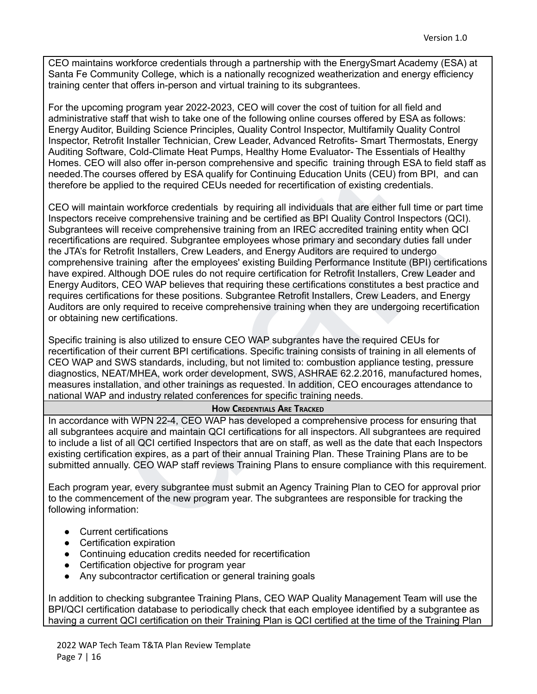CEO maintains workforce credentials through a partnership with the EnergySmart Academy (ESA) at Santa Fe Community College, which is a nationally recognized weatherization and energy efficiency training center that offers in-person and virtual training to its subgrantees.

For the upcoming program year 2022-2023, CEO will cover the cost of tuition for all field and administrative staff that wish to take one of the following online courses offered by ESA as follows: Energy Auditor, Building Science Principles, Quality Control Inspector, Multifamily Quality Control Inspector, Retrofit Installer Technician, Crew Leader, Advanced Retrofits- Smart Thermostats, Energy Auditing Software, Cold-Climate Heat Pumps, Healthy Home Evaluator- The Essentials of Healthy Homes. CEO will also offer in-person comprehensive and specific training through ESA to field staff as needed.The courses offered by ESA qualify for Continuing Education Units (CEU) from BPI, and can therefore be applied to the required CEUs needed for recertification of existing credentials.

he courses offered by ESA qualify for Continuing Education Units (CEU) from BPI, and can<br>be applied to the required CEUs needed for recertification of existing credentials.<br>The applied of the required CEUs needed for recer CEO will maintain workforce credentials by requiring all individuals that are either full time or part time Inspectors receive comprehensive training and be certified as BPI Quality Control Inspectors (QCI). Subgrantees will receive comprehensive training from an IREC accredited training entity when QCI recertifications are required. Subgrantee employees whose primary and secondary duties fall under the JTA's for Retrofit Installers, Crew Leaders, and Energy Auditors are required to undergo comprehensive training after the employees' existing Building Performance Institute (BPI) certifications have expired. Although DOE rules do not require certification for Retrofit Installers, Crew Leader and Energy Auditors, CEO WAP believes that requiring these certifications constitutes a best practice and requires certifications for these positions. Subgrantee Retrofit Installers, Crew Leaders, and Energy Auditors are only required to receive comprehensive training when they are undergoing recertification or obtaining new certifications.

Specific training is also utilized to ensure CEO WAP subgrantes have the required CEUs for recertification of their current BPI certifications. Specific training consists of training in all elements of CEO WAP and SWS standards, including, but not limited to: combustion appliance testing, pressure diagnostics, NEAT/MHEA, work order development, SWS, ASHRAE 62.2.2016, manufactured homes, measures installation, and other trainings as requested. In addition, CEO encourages attendance to national WAP and industry related conferences for specific training needs.

#### **HOW CREDENTIALS ARE TRACKED**

In accordance with WPN 22-4, CEO WAP has developed a comprehensive process for ensuring that all subgrantees acquire and maintain QCI certifications for all inspectors. All subgrantees are required to include a list of all QCI certified Inspectors that are on staff, as well as the date that each Inspectors existing certification expires, as a part of their annual Training Plan. These Training Plans are to be submitted annually. CEO WAP staff reviews Training Plans to ensure compliance with this requirement.

Each program year, every subgrantee must submit an Agency Training Plan to CEO for approval prior to the commencement of the new program year. The subgrantees are responsible for tracking the following information:

- Current certifications
- Certification expiration
- Continuing education credits needed for recertification
- Certification objective for program year
- Any subcontractor certification or general training goals

In addition to checking subgrantee Training Plans, CEO WAP Quality Management Team will use the BPI/QCI certification database to periodically check that each employee identified by a subgrantee as having a current QCI certification on their Training Plan is QCI certified at the time of the Training Plan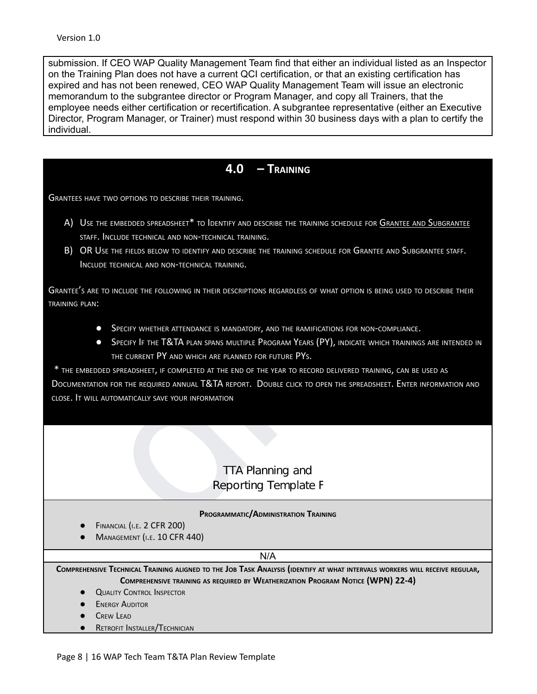submission. If CEO WAP Quality Management Team find that either an individual listed as an Inspector on the Training Plan does not have a current QCI certification, or that an existing certification has expired and has not been renewed, CEO WAP Quality Management Team will issue an electronic memorandum to the subgrantee director or Program Manager, and copy all Trainers, that the employee needs either certification or recertification. A subgrantee representative (either an Executive Director, Program Manager, or Trainer) must respond within 30 business days with a plan to certify the individual.

## **4.0 – TRAINING**

GRANTEES HAVE TWO OPTIONS TO DESCRIBE THEIR TRAINING.

- A) USE THE EMBEDDED SPREADSHEET\* TO IDENTIFY AND DESCRIBE THE TRAINING SCHEDULE FOR GRANTEE AND SUBGRANTEE STAFF. INCLUDE TECHNICAL AND NON-TECHNICAL TRAINING.
- B) OR USE THE FIELDS BELOW TO IDENTIFY AND DESCRIBE THE TRAINING SCHEDULE FOR GRANTEE AND SUBGRANTEE STAFF. INCLUDE TECHNICAL AND NON-TECHNICAL TRAINING.

GRANTEE'<sup>S</sup> ARE TO INCLUDE THE FOLLOWING IN THEIR DESCRIPTIONS REGARDLESS OF WHAT OPTION IS BEING USED TO DESCRIBE THEIR TRAINING PLAN:

- **•** SPECIFY WHETHER ATTENDANCE IS MANDATORY, AND THE RAMIFICATIONS FOR NON-COMPLIANCE.
- **•** Specify If the T&TA plan spans multiple Program Years (PY), indicate which trainings are intended in THE CURRENT PY AND WHICH ARE PLANNED FOR FUTURE PYS.

**4.0 - IRAINING**<br>  $\mathbf{A} \cdot \mathbf{0}$  - IRAINING<br>
THE TEMETODES SPEADSHEET TO IDENTIFY AND DESCRIBE THE TRAINING SCHEDULE FOR <u>GRANTIE AND SURGRANTIE</u><br>
T. INCLUDE TECHNICAL AND NON-TECHNICAL TRAINING.<br>
USE THE HELDS BELOW TO \* THE EMBEDDED SPREADSHEET, IF COMPLETED AT THE END OF THE YEAR TO RECORD DELIVERED TRAINING, CAN BE USED AS DOCUMENTATION FOR THE REQUIRED ANNUAL T&TA REPORT. DOUBLE CLICK TO OPEN THE SPREADSHEET. ENTER INFORMATION AND CLOSE. I<sup>T</sup> WILL AUTOMATICALLY SAVE YOUR INFORMATION

#### **PROGRAMMATIC/ADMINISTRATION TRAINING**

- **FINANCIAL (I.E. 2 CFR 200)**
- MANAGEMENT (I.E. 10 CFR 440)

#### N/A

COMPREHENSIVE TECHNICAL TRAINING ALIGNED TO THE JOB TASK ANALYSIS (IDENTIFY AT WHAT INTERVALS WORKERS WILL RECEIVE REGULAR, **COMPREHENSIVE TRAINING AS REQUIRED BY WEATHERIZATION PROGRAM NOTICE (WPN) 22-4)**

- **QUALITY CONTROL INSPECTOR**
- **ENERGY AUDITOR**
- CREW LEAD
- **•** RETROFIT INSTALLER/TECHNICIAN

Page 8 | 16 WAP Tech Team T&TA Plan Review Template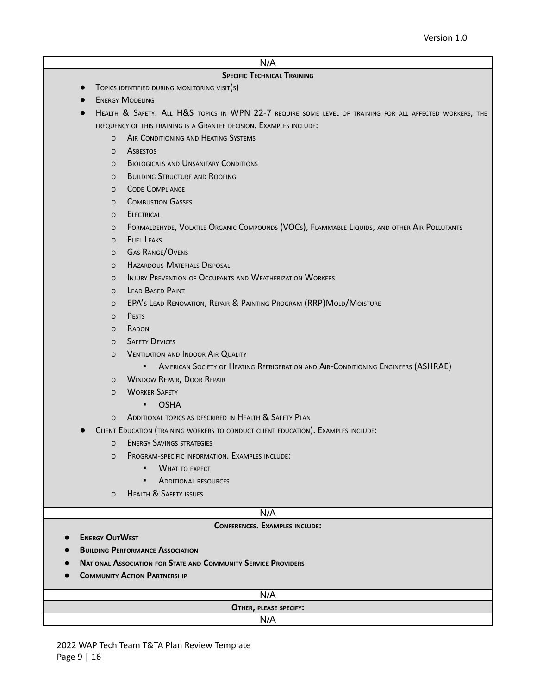### N/A

#### **SPECIFIC TECHNICAL TRAINING**

- **•** TOPICS IDENTIFIED DURING MONITORING VISIT(S)
- **ENERGY MODELING**
- HEALTH & SAFETY. ALL H&S TOPICS IN WPN 22-7 REQUIRE SOME LEVEL OF TRAINING FOR ALL AFFECTED WORKERS, THE FREQUENCY OF THIS TRAINING IS A GRANTEE DECISION. EXAMPLES INCLUDE:
	- O AIR CONDITIONING AND HEATING SYSTEMS
	- O ASBESTOS
	- O BIOLOGICALS AND UNSANITARY CONDITIONS
	- O BUILDING STRUCTURE AND ROOFING
	- O CODE COMPLIANCE
	- O COMBUSTION GASSES
	- O ELECTRICAL
	- o Code Comentaine (Molenary Routine And Rooming)<br>
	o Comentainer<br>
	o Comentainer<br>
	o Electrical<br>
	o Electrical<br>
	o Electrical<br>
	o Electrical<br>
	o Electrical<br>
	o Gas Range/Ovenes<br>
	o Lead Barrow of Occupants Dayosal<br>
	o Lead Barrow Pr O FORMALDEHYDE, VOLATILE ORGANIC COMPOUNDS (VOCS), FLAMMABLE LIQUIDS, AND OTHER AIR POLLUTANTS
		- O FUEL LEAKS
		- <sup>O</sup> GAS RANGE/OVENS
		- <sup>O</sup> HAZARDOUS MATERIALS DISPOSAL
		- <sup>O</sup> INJURY PREVENTION OF OCCUPANTS AND WEATHERIZATION WORKERS
		- <sup>O</sup> LEAD BASED PAINT
		- <sup>O</sup> EPA'<sup>S</sup> LEAD RENOVATION, REPAIR & PAINTING PROGRAM (RRP)MOLD/MOISTURE
		- <sup>O</sup> PESTS
		- <sup>O</sup> RADON
		- <sup>O</sup> SAFETY DEVICES
		- O VENTILATION AND INDOOR AIR QUALITY
			- **•** AMERICAN SOCIETY OF HEATING REFRIGERATION AND AIR-CONDITIONING ENGINEERS (ASHRAE)
		- <sup>O</sup> WINDOW REPAIR, DOOR REPAIR
		- <sup>O</sup> WORKER SAFETY
			- OSHA
		- O ADDITIONAL TOPICS AS DESCRIBED IN HEALTH & SAFETY PLAN
	- CLIENT EDUCATION (TRAINING WORKERS TO CONDUCT CLIENT EDUCATION). EXAMPLES INCLUDE:
		- <sup>O</sup> ENERGY SAVINGS STRATEGIES
		- <sup>O</sup> PROGRAM-SPECIFIC INFORMATION. EXAMPLES INCLUDE:
			- **WHAT TO EXPECT**
			- **E** ADDITIONAL RESOURCES
		- O HEALTH & SAFETY ISSUES

#### N/A

#### **CONFERENCES. EXAMPLES INCLUDE:**

- **● ENERGY OUTWEST**
- **● BUILDING PERFORMANCE ASSOCIATION**
- **● NATIONAL ASSOCIATION FOR STATE AND COMMUNITY SERVICE PROVIDERS**
- **● COMMUNITY ACTION PARTNERSHIP**

| .<br>N/A               |  |
|------------------------|--|
| OTHER, PLEASE SPECIFY: |  |
| N11<br>N/A             |  |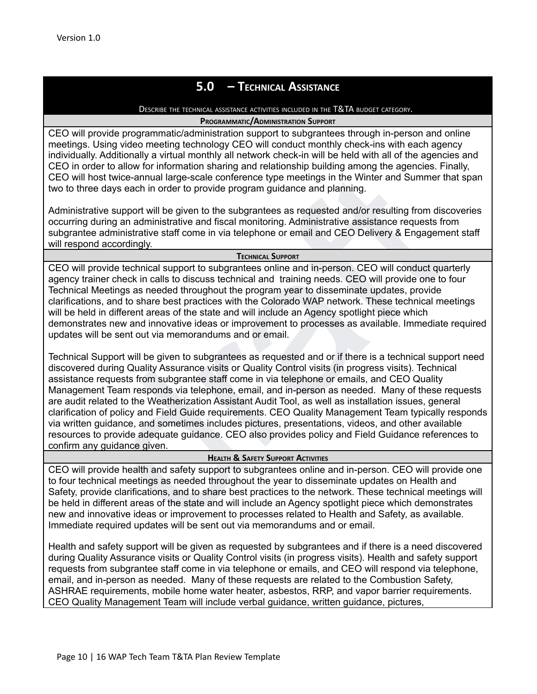# **5.0 – TECHNICAL ASSISTANCE**

#### DESCRIBE THE TECHNICAL ASSISTANCE ACTIVITIES INCLUDED IN THE T&TA BUDGET CATEGORY.

#### **PROGRAMMATIC/ADMINISTRATION SUPPORT**

CEO will provide programmatic/administration support to subgrantees through in-person and online meetings. Using video meeting technology CEO will conduct monthly check-ins with each agency individually. Additionally a virtual monthly all network check-in will be held with all of the agencies and CEO in order to allow for information sharing and relationship building among the agencies. Finally, CEO will host twice-annual large-scale conference type meetings in the Winter and Summer that span two to three days each in order to provide program guidance and planning.

Administrative support will be given to the subgrantees as requested and/or resulting from discoveries occurring during an administrative and fiscal monitoring. Administrative assistance requests from subgrantee administrative staff come in via telephone or email and CEO Delivery & Engagement staff will respond accordingly.

#### **TECHNICAL SUPPORT**

CEO will provide technical support to subgrantees online and in-person. CEO will conduct quarterly agency trainer check in calls to discuss technical and training needs. CEO will provide one to four Technical Meetings as needed throughout the program year to disseminate updates, provide clarifications, and to share best practices with the Colorado WAP network. These technical meetings will be held in different areas of the state and will include an Agency spotlight piece which demonstrates new and innovative ideas or improvement to processes as available. Immediate required updates will be sent out via memorandums and or email.

er to antwite out and the species are proportionally and the species and the species. The many and the species that the species of dramatic state of the subgrantees as requested and/or resulting from discoveries ative supp Technical Support will be given to subgrantees as requested and or if there is a technical support need discovered during Quality Assurance visits or Quality Control visits (in progress visits). Technical assistance requests from subgrantee staff come in via telephone or emails, and CEO Quality Management Team responds via telephone, email, and in-person as needed. Many of these requests are audit related to the Weatherization Assistant Audit Tool, as well as installation issues, general clarification of policy and Field Guide requirements. CEO Quality Management Team typically responds via written guidance, and sometimes includes pictures, presentations, videos, and other available resources to provide adequate guidance. CEO also provides policy and Field Guidance references to confirm any guidance given.

### **HEALTH & SAFETY SUPPORT ACTIVITIES**

CEO will provide health and safety support to subgrantees online and in-person. CEO will provide one to four technical meetings as needed throughout the year to disseminate updates on Health and Safety, provide clarifications, and to share best practices to the network. These technical meetings will be held in different areas of the state and will include an Agency spotlight piece which demonstrates new and innovative ideas or improvement to processes related to Health and Safety, as available. Immediate required updates will be sent out via memorandums and or email.

Health and safety support will be given as requested by subgrantees and if there is a need discovered during Quality Assurance visits or Quality Control visits (in progress visits). Health and safety support requests from subgrantee staff come in via telephone or emails, and CEO will respond via telephone, email, and in-person as needed. Many of these requests are related to the Combustion Safety, ASHRAE requirements, mobile home water heater, asbestos, RRP, and vapor barrier requirements. CEO Quality Management Team will include verbal guidance, written guidance, pictures,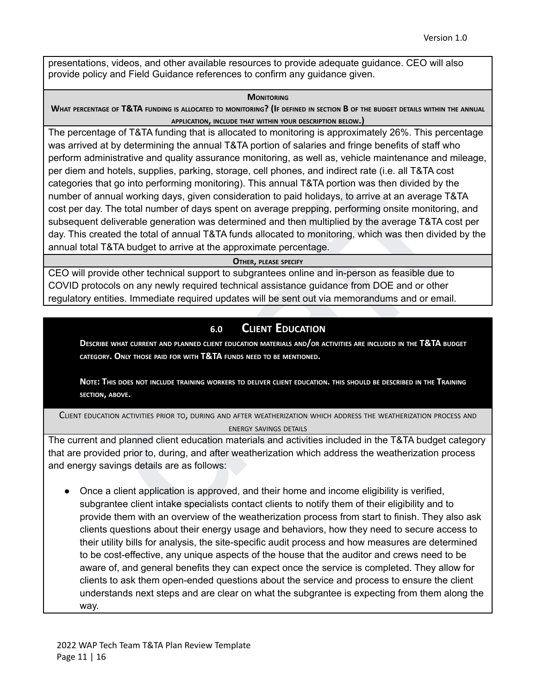presentations, videos, and other available resources to provide adequate guidance. CEO will also provide policy and Field Guidance references to confirm any guidance given.

#### **MONITORING**

WHAT PERCENTAGE OF T&TA FUNDING IS ALLOCATED TO MONITORING? (IF DEFINED IN SECTION B OF THE BUDGET DETAILS WITHIN THE ANNUAL **APPLICATION, INCLUDE THAT WITHIN YOUR DESCRIPTION BELOW.)**

and hotels, supplies, parking, storage, cell phones, and indirect rate (i.e. all T&TA costs<br>that go into performing monitoring). This annual T&TA portion was then divided by the<br>f annual working days, given consideration t The percentage of T&TA funding that is allocated to monitoring is approximately 26%. This percentage was arrived at by determining the annual T&TA portion of salaries and fringe benefits of staff who perform administrative and quality assurance monitoring, as well as, vehicle maintenance and mileage, per diem and hotels, supplies, parking, storage, cell phones, and indirect rate (i.e. all T&TA cost categories that go into performing monitoring). This annual T&TA portion was then divided by the number of annual working days, given consideration to paid holidays, to arrive at an average T&TA cost per day. The total number of days spent on average prepping, performing onsite monitoring, and subsequent deliverable generation was determined and then multiplied by the average T&TA cost per day. This created the total of annual T&TA funds allocated to monitoring, which was then divided by the annual total T&TA budget to arrive at the approximate percentage.

#### **OTHER, PLEASE SPECIFY**

CEO will provide other technical support to subgrantees online and in-person as feasible due to COVID protocols on any newly required technical assistance guidance from DOE and or other regulatory entities. Immediate required updates will be sent out via memorandums and or email.

# **6.0 CLIENT EDUCATION**

DESCRIBE WHAT CURRENT AND PLANNED CLIENT EDUCATION MATERIALS AND/OR ACTIVITIES ARE INCLUDED IN THE T&TA BUDGET **CATEGORY. ONLY THOSE PAID FOR WITH T&TA FUNDS NEED TO BE MENTIONED.**

NOTE: THIS DOES NOT INCLUDE TRAINING WORKERS TO DELIVER CLIENT EDUCATION. THIS SHOULD BE DESCRIBED IN THE TRAINING **SECTION, ABOVE.**

CLIENT EDUCATION ACTIVITIES PRIOR TO, DURING AND AFTER WEATHERIZATION WHICH ADDRESS THE WEATHERIZATION PROCESS AND ENERGY SAVINGS DETAILS

The current and planned client education materials and activities included in the T&TA budget category that are provided prior to, during, and after weatherization which address the weatherization process and energy savings details are as follows:

● Once a client application is approved, and their home and income eligibility is verified, subgrantee client intake specialists contact clients to notify them of their eligibility and to provide them with an overview of the weatherization process from start to finish. They also ask clients questions about their energy usage and behaviors, how they need to secure access to their utility bills for analysis, the site-specific audit process and how measures are determined to be cost-effective, any unique aspects of the house that the auditor and crews need to be aware of, and general benefits they can expect once the service is completed. They allow for clients to ask them open-ended questions about the service and process to ensure the client understands next steps and are clear on what the subgrantee is expecting from them along the way.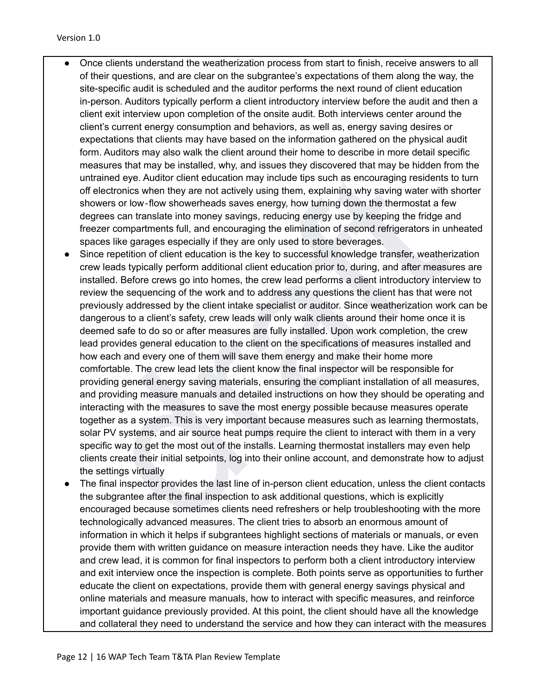- Once clients understand the weatherization process from start to finish, receive answers to all of their questions, and are clear on the subgrantee's expectations of them along the way, the site-specific audit is scheduled and the auditor performs the next round of client education in-person. Auditors typically perform a client introductory interview before the audit and then a client exit interview upon completion of the onsite audit. Both interviews center around the client's current energy consumption and behaviors, as well as, energy saving desires or expectations that clients may have based on the information gathered on the physical audit form. Auditors may also walk the client around their home to describe in more detail specific measures that may be installed, why, and issues they discovered that may be hidden from the untrained eye. Auditor client education may include tips such as encouraging residents to turn off electronics when they are not actively using them, explaining why saving water with shorter showers or low‐flow showerheads saves energy, how turning down the thermostat a few degrees can translate into money savings, reducing energy use by keeping the fridge and freezer compartments full, and encouraging the elimination of second refrigerators in unheated spaces like garages especially if they are only used to store beverages.
- Extendined bye. Auditor client detailed and production may include the such as encouraging residents to turn<br>trained bye. Auditor client detaction may include the such as encouraging residents to turn<br>overs or low-flow sho Since repetition of client education is the key to successful knowledge transfer, weatherization crew leads typically perform additional client education prior to, during, and after measures are installed. Before crews go into homes, the crew lead performs a client introductory interview to review the sequencing of the work and to address any questions the client has that were not previously addressed by the client intake specialist or auditor. Since weatherization work can be dangerous to a client's safety, crew leads will only walk clients around their home once it is deemed safe to do so or after measures are fully installed. Upon work completion, the crew lead provides general education to the client on the specifications of measures installed and how each and every one of them will save them energy and make their home more comfortable. The crew lead lets the client know the final inspector will be responsible for providing general energy saving materials, ensuring the compliant installation of all measures, and providing measure manuals and detailed instructions on how they should be operating and interacting with the measures to save the most energy possible because measures operate together as a system. This is very important because measures such as learning thermostats, solar PV systems, and air source heat pumps require the client to interact with them in a very specific way to get the most out of the installs. Learning thermostat installers may even help clients create their initial setpoints, log into their online account, and demonstrate how to adjust the settings virtually
- The final inspector provides the last line of in-person client education, unless the client contacts the subgrantee after the final inspection to ask additional questions, which is explicitly encouraged because sometimes clients need refreshers or help troubleshooting with the more technologically advanced measures. The client tries to absorb an enormous amount of information in which it helps if subgrantees highlight sections of materials or manuals, or even provide them with written guidance on measure interaction needs they have. Like the auditor and crew lead, it is common for final inspectors to perform both a client introductory interview and exit interview once the inspection is complete. Both points serve as opportunities to further educate the client on expectations, provide them with general energy savings physical and online materials and measure manuals, how to interact with specific measures, and reinforce important guidance previously provided. At this point, the client should have all the knowledge and collateral they need to understand the service and how they can interact with the measures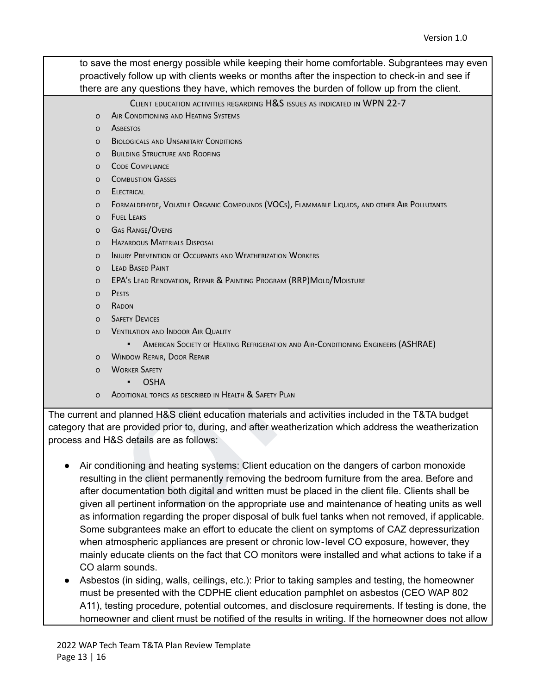to save the most energy possible while keeping their home comfortable. Subgrantees may even proactively follow up with clients weeks or months after the inspection to check-in and see if there are any questions they have, which removes the burden of follow up from the client.

CLIENT EDUCATION ACTIVITIES REGARDING H&S ISSUES AS INDICATED IN WPN 22-7

- O AIR CONDITIONING AND HEATING SYSTEMS
- O ASBESTOS
- O BIOLOGICALS AND UNSANITARY CONDITIONS
- O BUILDING STRUCTURE AND ROOFING
- O CODE COMPLIANCE
- O COMBUSTION GASSES
- O ELECTRICAL
- O FORMALDEHYDE, VOLATILE ORGANIC COMPOUNDS (VOCS), FLAMMABLE LIQUIDS, AND OTHER AIR POLLUTANTS
- O FUEL LEAKS
- O GAS RANGE/OVENS
- O HAZARDOUS MATERIALS DISPOSAL
- O INJURY PREVENTION OF OCCUPANTS AND WEATHERIZATION WORKERS
- <sup>O</sup> LEAD BASED PAINT
- <sup>O</sup> EPA'<sup>S</sup> LEAD RENOVATION, REPAIR & PAINTING PROGRAM (RRP)MOLD/MOISTURE
- <sup>O</sup> PESTS
- <sup>O</sup> RADON
- **O** SAFETY DEVICES
- O VENTILATION AND INDOOR AIR QUALITY
	- **AMERICAN SOCIETY OF HEATING REFRIGERATION AND AIR-CONDITIONING ENGINEERS (ASHRAE)**
- <sup>O</sup> WINDOW REPAIR, DOOR REPAIR
- <sup>O</sup> WORKER SAFETY
	- OSHA
- O ADDITIONAL TOPICS AS DESCRIBED IN HEALTH & SAFETY PLAN

The current and planned H&S client education materials and activities included in the T&TA budget category that are provided prior to, during, and after weatherization which address the weatherization process and H&S details are as follows:

- o Communisma<br>
o Communisma Gasses<br>
o Eustical<br>
o Communisma Gasses<br>
o Fust Leas<br>
o Forecance.<br>
Fust Leas<br>
o Forecance (Norman Chicagone Communisma UNE United States And Polumers<br>
o Hacked O Mercury Disreys.<br>
o Hacked O Me ● Air conditioning and heating systems: Client education on the dangers of carbon monoxide resulting in the client permanently removing the bedroom furniture from the area. Before and after documentation both digital and written must be placed in the client file. Clients shall be given all pertinent information on the appropriate use and maintenance of heating units as well as information regarding the proper disposal of bulk fuel tanks when not removed, if applicable. Some subgrantees make an effort to educate the client on symptoms of CAZ depressurization when atmospheric appliances are present or chronic low-level CO exposure, however, they mainly educate clients on the fact that CO monitors were installed and what actions to take if a CO alarm sounds.
- Asbestos (in siding, walls, ceilings, etc.): Prior to taking samples and testing, the homeowner must be presented with the CDPHE client education pamphlet on asbestos (CEO WAP 802 A11), testing procedure, potential outcomes, and disclosure requirements. If testing is done, the homeowner and client must be notified of the results in writing. If the homeowner does not allow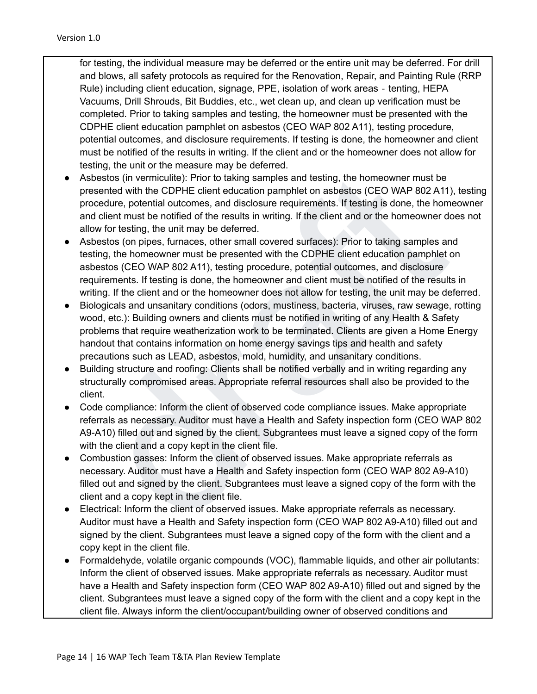for testing, the individual measure may be deferred or the entire unit may be deferred. For drill and blows, all safety protocols as required for the Renovation, Repair, and Painting Rule (RRP Rule) including client education, signage, PPE, isolation of work areas ‐ tenting, HEPA Vacuums, Drill Shrouds, Bit Buddies, etc., wet clean up, and clean up verification must be completed. Prior to taking samples and testing, the homeowner must be presented with the CDPHE client education pamphlet on asbestos (CEO WAP 802 A11), testing procedure, potential outcomes, and disclosure requirements. If testing is done, the homeowner and client must be notified of the results in writing. If the client and or the homeowner does not allow for testing, the unit or the measure may be deferred.

- and the CDPHE client education and testing, the homeowner must be<br>bestos (in vermiculite): Prior to taking samples and testing, the homeowner must be<br>bestos (in vermiculite): Prior to taking samples and testing is tone, th ● Asbestos (in vermiculite): Prior to taking samples and testing, the homeowner must be presented with the CDPHE client education pamphlet on asbestos (CEO WAP 802 A11), testing procedure, potential outcomes, and disclosure requirements. If testing is done, the homeowner and client must be notified of the results in writing. If the client and or the homeowner does not allow for testing, the unit may be deferred.
- Asbestos (on pipes, furnaces, other small covered surfaces): Prior to taking samples and testing, the homeowner must be presented with the CDPHE client education pamphlet on asbestos (CEO WAP 802 A11), testing procedure, potential outcomes, and disclosure requirements. If testing is done, the homeowner and client must be notified of the results in writing. If the client and or the homeowner does not allow for testing, the unit may be deferred.
- Biologicals and unsanitary conditions (odors, mustiness, bacteria, viruses, raw sewage, rotting wood, etc.): Building owners and clients must be notified in writing of any Health & Safety problems that require weatherization work to be terminated. Clients are given a Home Energy handout that contains information on home energy savings tips and health and safety precautions such as LEAD, asbestos, mold, humidity, and unsanitary conditions.
- Building structure and roofing: Clients shall be notified verbally and in writing regarding any structurally compromised areas. Appropriate referral resources shall also be provided to the client.
- Code compliance: Inform the client of observed code compliance issues. Make appropriate referrals as necessary. Auditor must have a Health and Safety inspection form (CEO WAP 802 A9-A10) filled out and signed by the client. Subgrantees must leave a signed copy of the form with the client and a copy kept in the client file.
- Combustion gasses: Inform the client of observed issues. Make appropriate referrals as necessary. Auditor must have a Health and Safety inspection form (CEO WAP 802 A9-A10) filled out and signed by the client. Subgrantees must leave a signed copy of the form with the client and a copy kept in the client file.
- Electrical: Inform the client of observed issues. Make appropriate referrals as necessary. Auditor must have a Health and Safety inspection form (CEO WAP 802 A9-A10) filled out and signed by the client. Subgrantees must leave a signed copy of the form with the client and a copy kept in the client file.
- Formaldehyde, volatile organic compounds (VOC), flammable liquids, and other air pollutants: Inform the client of observed issues. Make appropriate referrals as necessary. Auditor must have a Health and Safety inspection form (CEO WAP 802 A9-A10) filled out and signed by the client. Subgrantees must leave a signed copy of the form with the client and a copy kept in the client file. Always inform the client/occupant/building owner of observed conditions and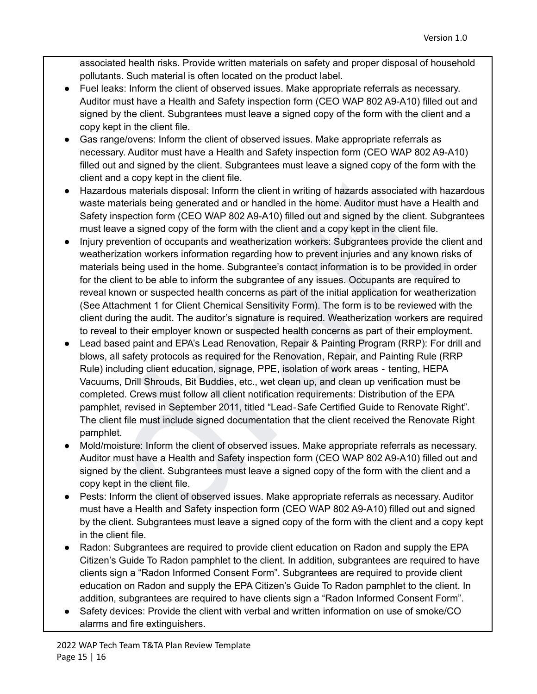associated health risks. Provide written materials on safety and proper disposal of household pollutants. Such material is often located on the product label.

- Fuel leaks: Inform the client of observed issues. Make appropriate referrals as necessary. Auditor must have a Health and Safety inspection form (CEO WAP 802 A9-A10) filled out and signed by the client. Subgrantees must leave a signed copy of the form with the client and a copy kept in the client file.
- Gas range/ovens: Inform the client of observed issues. Make appropriate referrals as necessary. Auditor must have a Health and Safety inspection form (CEO WAP 802 A9-A10) filled out and signed by the client. Subgrantees must leave a signed copy of the form with the client and a copy kept in the client file.
- Hazardous materials disposal: Inform the client in writing of hazards associated with hazardous waste materials being generated and or handled in the home. Auditor must have a Health and Safety inspection form (CEO WAP 802 A9-A10) filled out and signed by the client. Subgrantees must leave a signed copy of the form with the client and a copy kept in the client file.
- Injury prevention of occupants and weatherization workers: Subgrantees provide the client and weatherization workers information regarding how to prevent injuries and any known risks of materials being used in the home. Subgrantee's contact information is to be provided in order for the client to be able to inform the subgrantee of any issues. Occupants are required to reveal known or suspected health concerns as part of the initial application for weatherization (See Attachment 1 for Client Chemical Sensitivity Form). The form is to be reviewed with the client during the audit. The auditor's signature is required. Weatherization workers are required to reveal to their employer known or suspected health concerns as part of their employment.
- of a mean and a dopy kept in the dient of the methal methal methal methal methal and a dopy kept in the client file.<br>The metal and a copy kept in the client file.<br>The metal and a copy kept in the client file. Then the file ● Lead based paint and EPA's Lead Renovation, Repair & Painting Program (RRP): For drill and blows, all safety protocols as required for the Renovation, Repair, and Painting Rule (RRP Rule) including client education, signage, PPE, isolation of work areas ‐ tenting, HEPA Vacuums, Drill Shrouds, Bit Buddies, etc., wet clean up, and clean up verification must be completed. Crews must follow all client notification requirements: Distribution of the EPA pamphlet, revised in September 2011, titled "Lead‐Safe Certified Guide to Renovate Right". The client file must include signed documentation that the client received the Renovate Right pamphlet.
- Mold/moisture: Inform the client of observed issues. Make appropriate referrals as necessary. Auditor must have a Health and Safety inspection form (CEO WAP 802 A9-A10) filled out and signed by the client. Subgrantees must leave a signed copy of the form with the client and a copy kept in the client file.
- Pests: Inform the client of observed issues. Make appropriate referrals as necessary. Auditor must have a Health and Safety inspection form (CEO WAP 802 A9-A10) filled out and signed by the client. Subgrantees must leave a signed copy of the form with the client and a copy kept in the client file.
- Radon: Subgrantees are required to provide client education on Radon and supply the EPA Citizen's Guide To Radon pamphlet to the client. In addition, subgrantees are required to have clients sign a "Radon Informed Consent Form". Subgrantees are required to provide client education on Radon and supply the EPA Citizen's Guide To Radon pamphlet to the client. In addition, subgrantees are required to have clients sign a "Radon Informed Consent Form".
- Safety devices: Provide the client with verbal and written information on use of smoke/CO alarms and fire extinguishers.